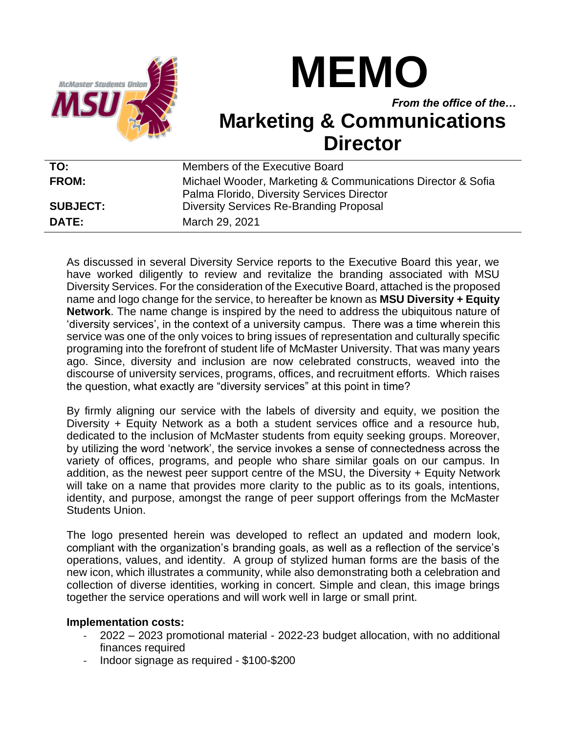

## **MEMO**

*From the office of the…*

## **Marketing & Communications Director**

| TO:             | Members of the Executive Board                                                                            |
|-----------------|-----------------------------------------------------------------------------------------------------------|
| <b>FROM:</b>    | Michael Wooder, Marketing & Communications Director & Sofia<br>Palma Florido, Diversity Services Director |
| <b>SUBJECT:</b> | <b>Diversity Services Re-Branding Proposal</b>                                                            |
| DATE:           | March 29, 2021                                                                                            |

As discussed in several Diversity Service reports to the Executive Board this year, we have worked diligently to review and revitalize the branding associated with MSU Diversity Services. For the consideration of the Executive Board, attached is the proposed name and logo change for the service, to hereafter be known as **MSU Diversity + Equity Network**. The name change is inspired by the need to address the ubiquitous nature of 'diversity services', in the context of a university campus. There was a time wherein this service was one of the only voices to bring issues of representation and culturally specific programing into the forefront of student life of McMaster University. That was many years ago. Since, diversity and inclusion are now celebrated constructs, weaved into the discourse of university services, programs, offices, and recruitment efforts. Which raises the question, what exactly are "diversity services" at this point in time?

By firmly aligning our service with the labels of diversity and equity, we position the Diversity + Equity Network as a both a student services office and a resource hub, dedicated to the inclusion of McMaster students from equity seeking groups. Moreover, by utilizing the word 'network', the service invokes a sense of connectedness across the variety of offices, programs, and people who share similar goals on our campus. In addition, as the newest peer support centre of the MSU, the Diversity + Equity Network will take on a name that provides more clarity to the public as to its goals, intentions, identity, and purpose, amongst the range of peer support offerings from the McMaster Students Union.

The logo presented herein was developed to reflect an updated and modern look, compliant with the organization's branding goals, as well as a reflection of the service's operations, values, and identity. A group of stylized human forms are the basis of the new icon, which illustrates a community, while also demonstrating both a celebration and collection of diverse identities, working in concert. Simple and clean, this image brings together the service operations and will work well in large or small print.

## **Implementation costs:**

- 2022 2023 promotional material 2022-23 budget allocation, with no additional finances required
- Indoor signage as required \$100-\$200